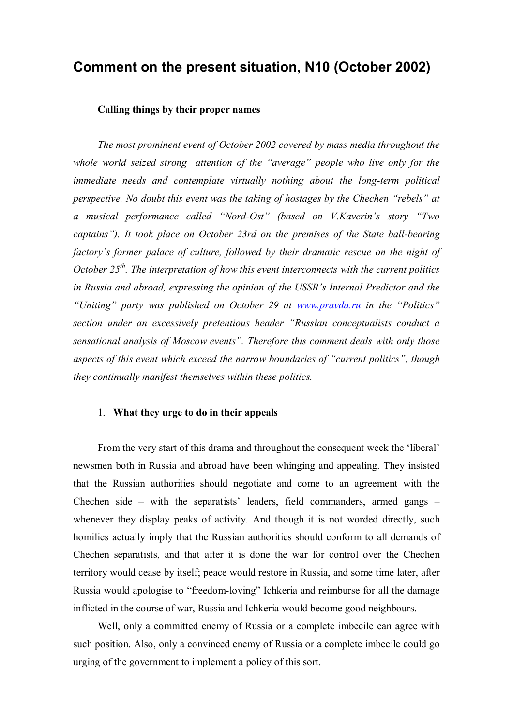# **Сomment on the present situation, N10 (October 2002)**

### **Calling things by their proper names**

*The most prominent event of October 2002 covered by mass media throughout the whole world seized strong attention of the "average" people who live only for the immediate needs and contemplate virtually nothing about the long-term political perspective. No doubt this event was the taking of hostages by the Chechen "rebels" at a musical performance called "Nord-Ost" (based on V.Kaverin's story "Two captains"). It took place on October 23rd on the premises of the State ball-bearing factory's former palace of culture, followed by their dramatic rescue on the night of October 25th . The interpretation of how this event interconnects with the current politics in Russia and abroad, expressing the opinion of the USSR's Internal Predictor and the "Uniting" party was published on October 29 at [www.pravda.ru](http://www.pravda.ru) in the "Politics" section under an excessively pretentious header "Russian conceptualists conduct a sensational analysis of Moscow events". Therefore this comment deals with only those aspects of this event which exceed the narrow boundaries of "current politics", though they continually manifest themselves within these politics.* 

### 1. **What they urge to do in their appeals**

From the very start of this drama and throughout the consequent week the 'liberal' newsmen both in Russia and abroad have been whinging and appealing. They insisted that the Russian authorities should negotiate and come to an agreement with the Chechen side – with the separatists' leaders, field commanders, armed gangs – whenever they display peaks of activity. And though it is not worded directly, such homilies actually imply that the Russian authorities should conform to all demands of Chechen separatists, and that after it is done the war for control over the Chechen territory would cease by itself; peace would restore in Russia, and some time later, after Russia would apologise to "freedom-loving" Ichkeria and reimburse for all the damage inflicted in the course of war, Russia and Ichkeria would become good neighbours.

Well, only a committed enemy of Russia or a complete imbecile can agree with such position. Also, only a convinced enemy of Russia or a complete imbecile could go urging of the government to implement a policy of this sort.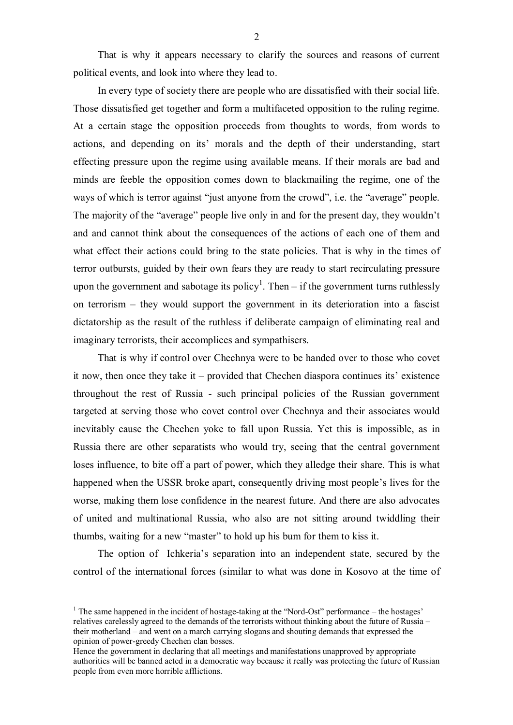That is why it appears necessary to clarify the sources and reasons of current political events, and look into where they lead to.

In every type of society there are people who are dissatisfied with their social life. Those dissatisfied get together and form a multifaceted opposition to the ruling regime. At a certain stage the opposition proceeds from thoughts to words, from words to actions, and depending on its' morals and the depth of their understanding, start effecting pressure upon the regime using available means. If their morals are bad and minds are feeble the opposition comes down to blackmailing the regime, one of the ways of which is terror against "just anyone from the crowd", i.e. the "average" people. The majority of the "average" people live only in and for the present day, they wouldn't and and cannot think about the consequences of the actions of each one of them and what effect their actions could bring to the state policies. That is why in the times of terror outbursts, guided by their own fears they are ready to start recirculating pressure upon the government and sabotage its policy<sup>1</sup>. Then  $-$  if the government turns ruthlessly on terrorism – they would support the government in its deterioration into a fascist dictatorship as the result of the ruthless if deliberate campaign of eliminating real and imaginary terrorists, their accomplices and sympathisers.

That is why if control over Chechnya were to be handed over to those who covet it now, then once they take it – provided that Chechen diaspora continues its' existence throughout the rest of Russia - such principal policies of the Russian government targeted at serving those who covet control over Chechnya and their associates would inevitably cause the Chechen yoke to fall upon Russia. Yet this is impossible, as in Russia there are other separatists who would try, seeing that the central government loses influence, to bite off a part of power, which they alledge their share. This is what happened when the USSR broke apart, consequently driving most people's lives for the worse, making them lose confidence in the nearest future. And there are also advocates of united and multinational Russia, who also are not sitting around twiddling their thumbs, waiting for a new "master" to hold up his bum for them to kiss it.

The option of Ichkeria's separation into an independent state, secured by the control of the international forces (similar to what was done in Kosovo at the time of

 $\overline{a}$ 

<sup>&</sup>lt;sup>1</sup> The same happened in the incident of hostage-taking at the "Nord-Ost" performance – the hostages' relatives carelessly agreed to the demands of the terrorists without thinking about the future of Russia – their motherland – and went on a march carrying slogans and shouting demands that expressed the opinion of power-greedy Chechen clan bosses.

Hence the government in declaring that all meetings and manifestations unapproved by appropriate authorities will be banned acted in a democratic way because it really was protecting the future of Russian people from even more horrible afflictions.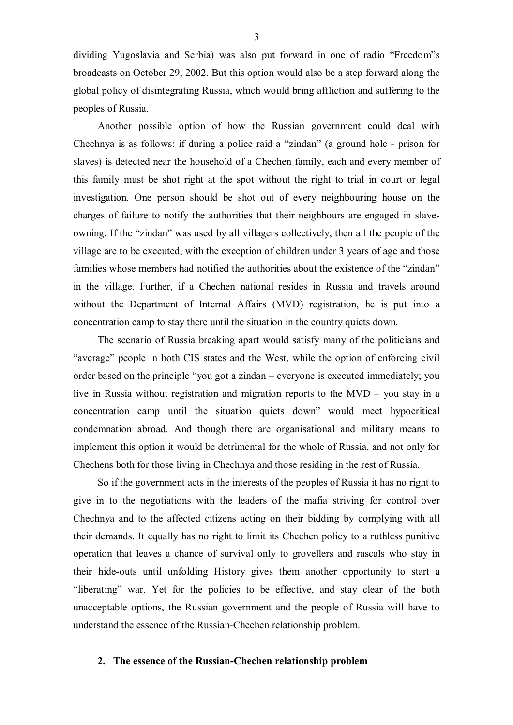dividing Yugoslavia and Serbia) was also put forward in one of radio "Freedom"s broadcasts on October 29, 2002. But this option would also be a step forward along the global policy of disintegrating Russia, which would bring affliction and suffering to the peoples of Russia.

Another possible option of how the Russian government could deal with Chechnya is as follows: if during a police raid a "zindan" (a ground hole - prison for slaves) is detected near the household of a Chechen family, each and every member of this family must be shot right at the spot without the right to trial in court or legal investigation. One person should be shot out of every neighbouring house on the charges of failure to notify the authorities that their neighbours are engaged in slaveowning. If the "zindan" was used by all villagers collectively, then all the people of the village are to be executed, with the exception of children under 3 years of age and those families whose members had notified the authorities about the existence of the "zindan" in the village. Further, if a Chechen national resides in Russia and travels around without the Department of Internal Affairs (MVD) registration, he is put into a concentration camp to stay there until the situation in the country quiets down.

The scenario of Russia breaking apart would satisfy many of the politicians and "average" people in both CIS states and the West, while the option of enforcing civil order based on the principle "you got a zindan – everyone is executed immediately; you live in Russia without registration and migration reports to the MVD – you stay in a concentration camp until the situation quiets down" would meet hypocritical condemnation abroad. And though there are organisational and military means to implement this option it would be detrimental for the whole of Russia, and not only for Chechens both for those living in Chechnya and those residing in the rest of Russia.

So if the government acts in the interests of the peoples of Russia it has no right to give in to the negotiations with the leaders of the mafia striving for control over Chechnya and to the affected citizens acting on their bidding by complying with all their demands. It equally has no right to limit its Chechen policy to a ruthless punitive operation that leaves a chance of survival only to grovellers and rascals who stay in their hide-outs until unfolding History gives them another opportunity to start a "liberating" war. Yet for the policies to be effective, and stay clear of the both unacceptable options, the Russian government and the people of Russia will have to understand the essence of the Russian-Chechen relationship problem.

#### **2. The essence of the Russian-Chechen relationship problem**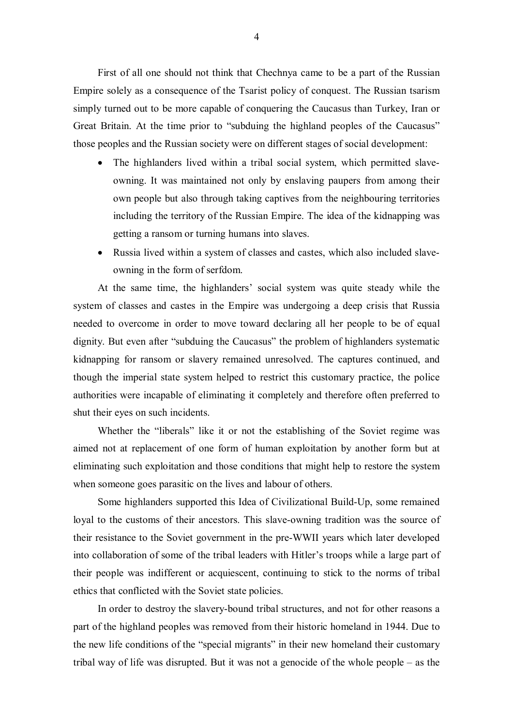First of all one should not think that Chechnya came to be a part of the Russian Empire solely as a consequence of the Tsarist policy of conquest. The Russian tsarism simply turned out to be more capable of conquering the Caucasus than Turkey, Iran or Great Britain. At the time prior to "subduing the highland peoples of the Caucasus" those peoples and the Russian society were on different stages of social development:

- The highlanders lived within a tribal social system, which permitted slaveowning. It was maintained not only by enslaving paupers from among their own people but also through taking captives from the neighbouring territories including the territory of the Russian Empire. The idea of the kidnapping was getting a ransom or turning humans into slaves.
- · Russia lived within a system of classes and castes, which also included slaveowning in the form of serfdom.

At the same time, the highlanders' social system was quite steady while the system of classes and castes in the Empire was undergoing a deep crisis that Russia needed to overcome in order to move toward declaring all her people to be of equal dignity. But even after "subduing the Caucasus" the problem of highlanders systematic kidnapping for ransom or slavery remained unresolved. The captures continued, and though the imperial state system helped to restrict this customary practice, the police authorities were incapable of eliminating it completely and therefore often preferred to shut their eyes on such incidents.

Whether the "liberals" like it or not the establishing of the Soviet regime was aimed not at replacement of one form of human exploitation by another form but at eliminating such exploitation and those conditions that might help to restore the system when someone goes parasitic on the lives and labour of others.

Some highlanders supported this Idea of Civilizational Build-Up, some remained loyal to the customs of their ancestors. This slave-owning tradition was the source of their resistance to the Soviet government in the pre-WWII years which later developed into collaboration of some of the tribal leaders with Hitler's troops while a large part of their people was indifferent or acquiescent, continuing to stick to the norms of tribal ethics that conflicted with the Soviet state policies.

In order to destroy the slavery-bound tribal structures, and not for other reasons a part of the highland peoples was removed from their historic homeland in 1944. Due to the new life conditions of the "special migrants" in their new homeland their customary tribal way of life was disrupted. But it was not a genocide of the whole people – as the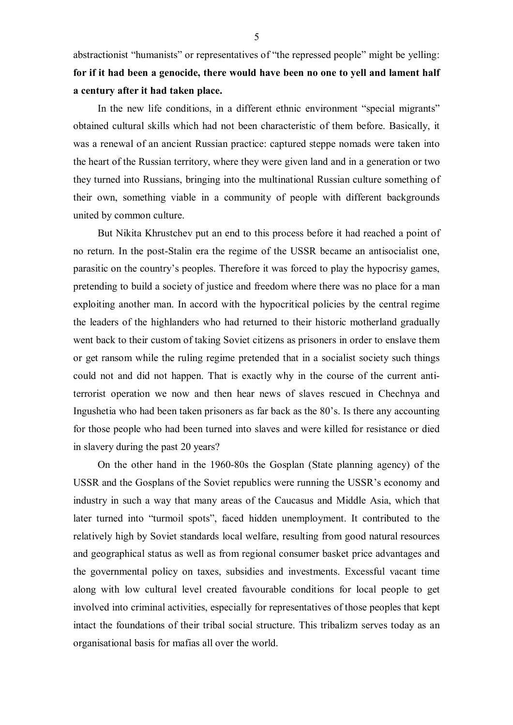abstractionist "humanists" or representatives of "the repressed people" might be yelling: **for if it had been a genocide, there would have been no one to yell and lament half a century after it had taken place.** 

In the new life conditions, in a different ethnic environment "special migrants" obtained cultural skills which had not been characteristic of them before. Basically, it was a renewal of an ancient Russian practice: captured steppe nomads were taken into the heart of the Russian territory, where they were given land and in a generation or two they turned into Russians, bringing into the multinational Russian culture something of their own, something viable in a community of people with different backgrounds united by common culture.

But Nikita Khrustchev put an end to this process before it had reached a point of no return. In the post-Stalin era the regime of the USSR became an antisocialist one, parasitic on the country's peoples. Therefore it was forced to play the hypocrisy games, pretending to build a society of justice and freedom where there was no place for a man exploiting another man. In accord with the hypocritical policies by the central regime the leaders of the highlanders who had returned to their historic motherland gradually went back to their custom of taking Soviet citizens as prisoners in order to enslave them or get ransom while the ruling regime pretended that in a socialist society such things could not and did not happen. That is exactly why in the course of the current antiterrorist operation we now and then hear news of slaves rescued in Chechnya and Ingushetia who had been taken prisoners as far back as the 80's. Is there any accounting for those people who had been turned into slaves and were killed for resistance or died in slavery during the past 20 years?

On the other hand in the 1960-80s the Gosplan (State planning agency) of the USSR and the Gosplans of the Soviet republics were running the USSR's economy and industry in such a way that many areas of the Caucasus and Middle Asia, which that later turned into "turmoil spots", faced hidden unemployment. It contributed to the relatively high by Soviet standards local welfare, resulting from good natural resources and geographical status as well as from regional consumer basket price advantages and the governmental policy on taxes, subsidies and investments. Excessful vacant time along with low cultural level created favourable conditions for local people to get involved into criminal activities, especially for representatives of those peoples that kept intact the foundations of their tribal social structure. This tribalizm serves today as an organisational basis for mafias all over the world.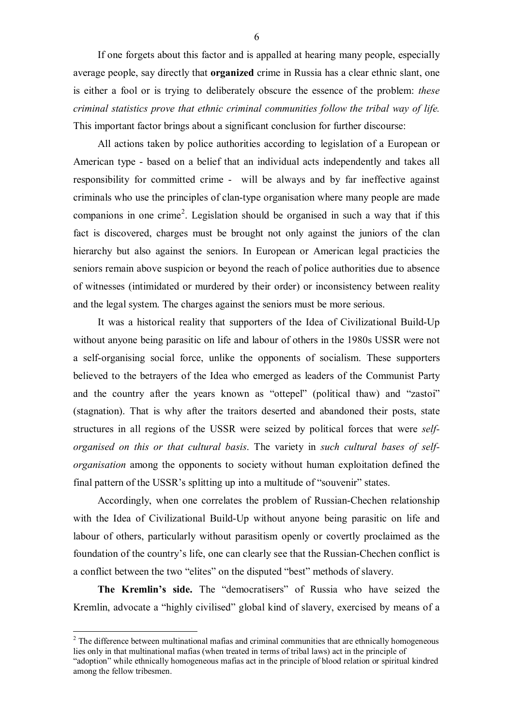If one forgets about this factor and is appalled at hearing many people, especially average people, say directly that **organized** crime in Russia has a clear ethnic slant, one is either a fool or is trying to deliberately obscure the essence of the problem: *these criminal statistics prove that ethnic criminal communities follow the tribal way of life.* This important factor brings about a significant conclusion for further discourse:

All actions taken by police authorities according to legislation of a European or American type - based on a belief that an individual acts independently and takes all responsibility for committed crime - will be always and by far ineffective against criminals who use the principles of clan-type organisation where many people are made companions in one crime<sup>2</sup>. Legislation should be organised in such a way that if this fact is discovered, charges must be brought not only against the juniors of the clan hierarchy but also against the seniors. In European or American legal practicies the seniors remain above suspicion or beyond the reach of police authorities due to absence of witnesses (intimidated or murdered by their order) or inconsistency between reality and the legal system. The charges against the seniors must be more serious.

It was a historical reality that supporters of the Idea of Civilizational Build-Up without anyone being parasitic on life and labour of others in the 1980s USSR were not a self-organising social force, unlike the opponents of socialism. These supporters believed to the betrayers of the Idea who emerged as leaders of the Communist Party and the country after the years known as "ottepel" (political thaw) and "zastoi" (stagnation). That is why after the traitors deserted and abandoned their posts, state structures in all regions of the USSR were seized by political forces that were *selforganised on this or that cultural basis*. The variety in *such cultural bases of selforganisation* among the opponents to society without human exploitation defined the final pattern of the USSR's splitting up into a multitude of "souvenir" states.

Accordingly, when one correlates the problem of Russian-Chechen relationship with the Idea of Civilizational Build-Up without anyone being parasitic on life and labour of others, particularly without parasitism openly or covertly proclaimed as the foundation of the country's life, one can clearly see that the Russian-Chechen conflict is a conflict between the two "elites" on the disputed "best" methods of slavery.

**The Kremlin's side.** The "democratisers" of Russia who have seized the Kremlin, advocate a "highly civilised" global kind of slavery, exercised by means of a

 $\overline{a}$ 

6

<sup>&</sup>lt;sup>2</sup> The difference between multinational mafias and criminal communities that are ethnically homogeneous lies only in that multinational mafias (when treated in terms of tribal laws) act in the principle of "adoption" while ethnically homogeneous mafias act in the principle of blood relation or spiritual kindred among the fellow tribesmen.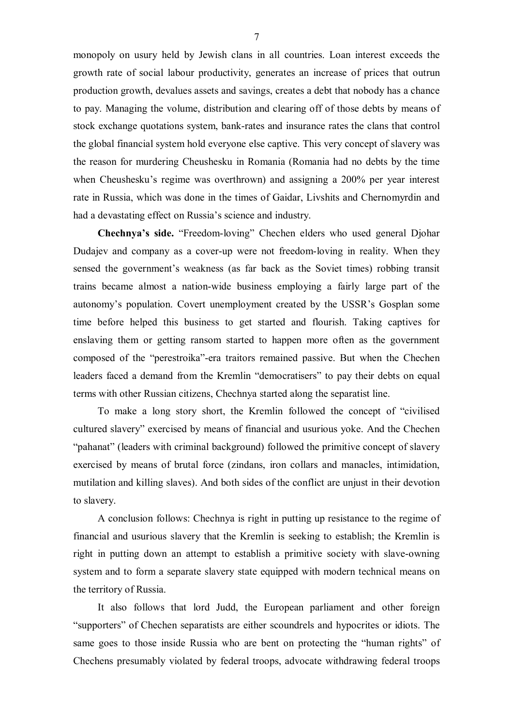monopoly on usury held by Jewish clans in all countries. Loan interest exceeds the growth rate of social labour productivity, generates an increase of prices that outrun production growth, devalues assets and savings, creates a debt that nobody has a chance to pay. Managing the volume, distribution and clearing off of those debts by means of stock exchange quotations system, bank-rates and insurance rates the clans that control the global financial system hold everyone else captive. This very concept of slavery was the reason for murdering Cheushesku in Romania (Romania had no debts by the time when Cheushesku's regime was overthrown) and assigning a 200% per year interest rate in Russia, which was done in the times of Gaidar, Livshits and Chernomyrdin and had a devastating effect on Russia's science and industry.

**Chechnya's side.** "Freedom-loving" Chechen elders who used general Djohar Dudajev and company as a cover-up were not freedom-loving in reality. When they sensed the government's weakness (as far back as the Soviet times) robbing transit trains became almost a nation-wide business employing a fairly large part of the autonomy's population. Covert unemployment created by the USSR's Gosplan some time before helped this business to get started and flourish. Taking captives for enslaving them or getting ransom started to happen more often as the government composed of the "perestroika"-era traitors remained passive. But when the Chechen leaders faced a demand from the Kremlin "democratisers" to pay their debts on equal terms with other Russian citizens, Chechnya started along the separatist line.

To make a long story short, the Kremlin followed the concept of "civilised cultured slavery" exercised by means of financial and usurious yoke. And the Chechen "pahanat" (leaders with criminal background) followed the primitive concept of slavery exercised by means of brutal force (zindans, iron collars and manacles, intimidation, mutilation and killing slaves). And both sides of the conflict are unjust in their devotion to slavery.

A conclusion follows: Chechnya is right in putting up resistance to the regime of financial and usurious slavery that the Kremlin is seeking to establish; the Kremlin is right in putting down an attempt to establish a primitive society with slave-owning system and to form a separate slavery state equipped with modern technical means on the territory of Russia.

It also follows that lord Judd, the European parliament and other foreign "supporters" of Chechen separatists are either scoundrels and hypocrites or idiots. The same goes to those inside Russia who are bent on protecting the "human rights" of Chechens presumably violated by federal troops, advocate withdrawing federal troops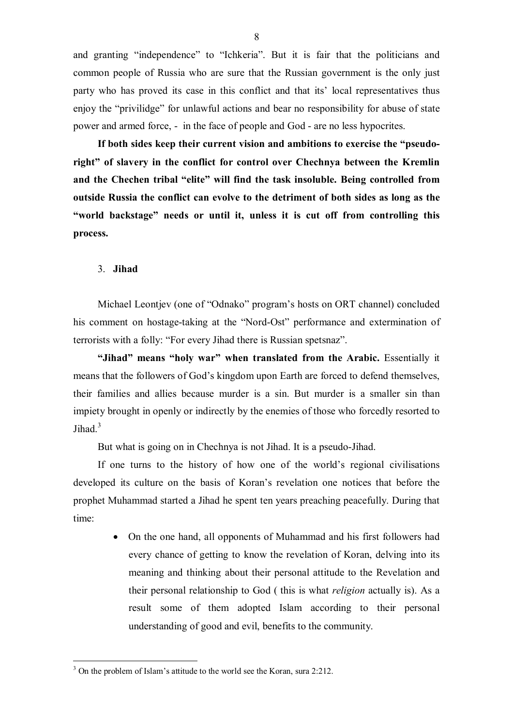and granting "independence" to "Ichkeria". But it is fair that the politicians and common people of Russia who are sure that the Russian government is the only just party who has proved its case in this conflict and that its' local representatives thus enjoy the "privilidge" for unlawful actions and bear no responsibility for abuse of state power and armed force, - in the face of people and God - are no less hypocrites.

**If both sides keep their current vision and ambitions to exercise the "pseudoright" of slavery in the conflict for control over Chechnya between the Kremlin and the Chechen tribal "elite" will find the task insoluble. Being controlled from outside Russia the conflict can evolve to the detriment of both sides as long as the "world backstage" needs or until it, unless it is cut off from controlling this process.**

#### 3. **Jihad**

 $\overline{a}$ 

Michael Leontjev (one of "Odnako" program's hosts on ORT channel) concluded his comment on hostage-taking at the "Nord-Ost" performance and extermination of terrorists with a folly: "For every Jihad there is Russian spetsnaz".

**"Jihad" means "holy war" when translated from the Arabic.** Essentially it means that the followers of God's kingdom upon Earth are forced to defend themselves, their families and allies because murder is a sin. But murder is a smaller sin than impiety brought in openly or indirectly by the enemies of those who forcedly resorted to Jihad. $3$ 

But what is going on in Chechnya is not Jihad. It is a pseudo-Jihad.

If one turns to the history of how one of the world's regional civilisations developed its culture on the basis of Koran's revelation one notices that before the prophet Muhammad started a Jihad he spent ten years preaching peacefully. During that time:

> • On the one hand, all opponents of Muhammad and his first followers had every chance of getting to know the revelation of Koran, delving into its meaning and thinking about their personal attitude to the Revelation and their personal relationship to God ( this is what *religion* actually is). As a result some of them adopted Islam according to their personal understanding of good and evil, benefits to the community.

<sup>&</sup>lt;sup>3</sup> On the problem of Islam's attitude to the world see the Koran, sura 2:212.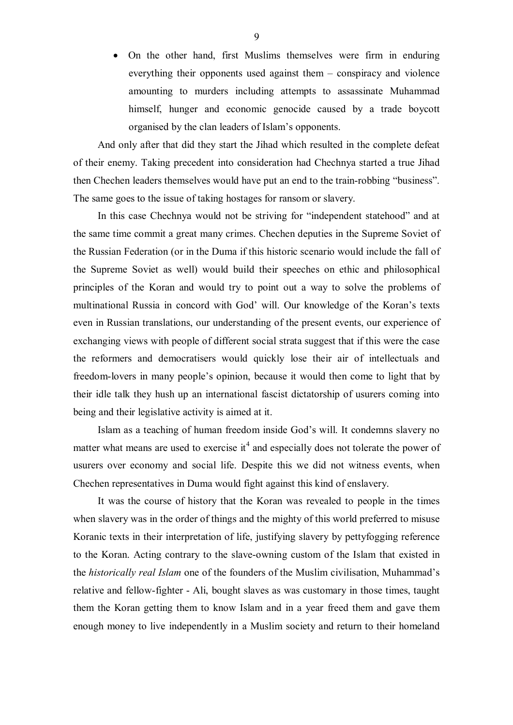· On the other hand, first Muslims themselves were firm in enduring everything their opponents used against them – conspiracy and violence amounting to murders including attempts to assassinate Muhammad himself, hunger and economic genocide caused by a trade boycott organised by the clan leaders of Islam's opponents.

And only after that did they start the Jihad which resulted in the complete defeat of their enemy. Taking precedent into consideration had Chechnya started a true Jihad then Chechen leaders themselves would have put an end to the train-robbing "business". The same goes to the issue of taking hostages for ransom or slavery.

In this case Chechnya would not be striving for "independent statehood" and at the same time commit a great many crimes. Chechen deputies in the Supreme Soviet of the Russian Federation (or in the Duma if this historic scenario would include the fall of the Supreme Soviet as well) would build their speeches on ethic and philosophical principles of the Koran and would try to point out a way to solve the problems of multinational Russia in concord with God' will. Our knowledge of the Koran's texts even in Russian translations, our understanding of the present events, our experience of exchanging views with people of different social strata suggest that if this were the case the reformers and democratisers would quickly lose their air of intellectuals and freedom-lovers in many people's opinion, because it would then come to light that by their idle talk they hush up an international fascist dictatorship of usurers coming into being and their legislative activity is aimed at it.

Islam as a teaching of human freedom inside God's will. It condemns slavery no matter what means are used to exercise it<sup>4</sup> and especially does not tolerate the power of usurers over economy and social life. Despite this we did not witness events, when Chechen representatives in Duma would fight against this kind of enslavery.

It was the course of history that the Koran was revealed to people in the times when slavery was in the order of things and the mighty of this world preferred to misuse Koranic texts in their interpretation of life, justifying slavery by pettyfogging reference to the Koran. Acting contrary to the slave-owning custom of the Islam that existed in the *historically real Islam* one of the founders of the Muslim civilisation, Muhammad's relative and fellow-fighter - Ali, bought slaves as was customary in those times, taught them the Koran getting them to know Islam and in a year freed them and gave them enough money to live independently in a Muslim society and return to their homeland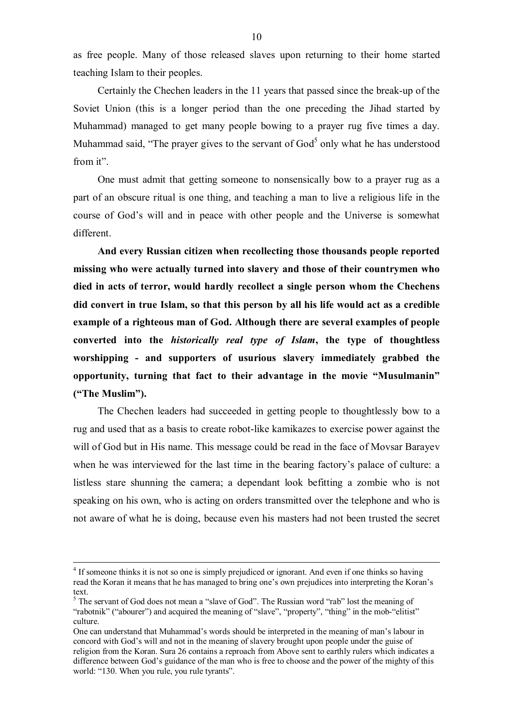as free people. Many of those released slaves upon returning to their home started teaching Islam to their peoples.

Certainly the Chechen leaders in the 11 years that passed since the break-up of the Soviet Union (this is a longer period than the one preceding the Jihad started by Muhammad) managed to get many people bowing to a prayer rug five times a day. Muhammad said, "The prayer gives to the servant of  $God<sup>5</sup>$  only what he has understood from it".

One must admit that getting someone to nonsensically bow to a prayer rug as a part of an obscure ritual is one thing, and teaching a man to live a religious life in the course of God's will and in peace with other people and the Universe is somewhat different.

**And every Russian citizen when recollecting those thousands people reported missing who were actually turned into slavery and those of their countrymen who died in acts of terror, would hardly recollect a single person whom the Chechens did convert in true Islam, so that this person by all his life would act as a credible example of a righteous man of God. Although there are several examples of people converted into the** *historically real type of Islam***, the type of thoughtless worshipping - and supporters of usurious slavery immediately grabbed the opportunity, turning that fact to their advantage in the movie "Musulmanin" ("The Muslim").** 

The Chechen leaders had succeeded in getting people to thoughtlessly bow to a rug and used that as a basis to create robot-like kamikazes to exercise power against the will of God but in His name. This message could be read in the face of Movsar Barayev when he was interviewed for the last time in the bearing factory's palace of culture: a listless stare shunning the camera; a dependant look befitting a zombie who is not speaking on his own, who is acting on orders transmitted over the telephone and who is not aware of what he is doing, because even his masters had not been trusted the secret

 $\overline{a}$ 

<sup>&</sup>lt;sup>4</sup> If someone thinks it is not so one is simply prejudiced or ignorant. And even if one thinks so having read the Koran it means that he has managed to bring one's own prejudices into interpreting the Koran's text.

 $<sup>5</sup>$  The servant of God does not mean a "slave of God". The Russian word "rab" lost the meaning of</sup> "rabotnik" ("abourer") and acquired the meaning of "slave", "property", "thing" in the mob-"elitist" culture.

One can understand that Muhammad's words should be interpreted in the meaning of man's labour in concord with God's will and not in the meaning of slavery brought upon people under the guise of religion from the Koran. Sura 26 contains a reproach from Above sent to earthly rulers which indicates a difference between God's guidance of the man who is free to choose and the power of the mighty of this world: "130. When you rule, you rule tyrants".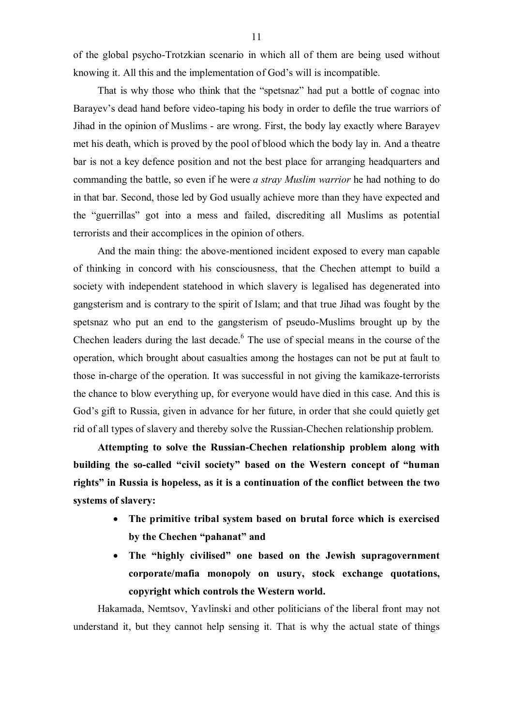of the global psycho-Trotzkian scenario in which all of them are being used without knowing it. All this and the implementation of God's will is incompatible.

That is why those who think that the "spetsnaz" had put a bottle of cognac into Barayev's dead hand before video-taping his body in order to defile the true warriors of Jihad in the opinion of Muslims - are wrong. First, the body lay exactly where Barayev met his death, which is proved by the pool of blood which the body lay in. And a theatre bar is not a key defence position and not the best place for arranging headquarters and commanding the battle, so even if he were *a stray Muslim warrior* he had nothing to do in that bar. Second, those led by God usually achieve more than they have expected and the "guerrillas" got into a mess and failed, discrediting all Muslims as potential terrorists and their accomplices in the opinion of others.

And the main thing: the above-mentioned incident exposed to every man capable of thinking in concord with his consciousness, that the Chechen attempt to build a society with independent statehood in which slavery is legalised has degenerated into gangsterism and is contrary to the spirit of Islam; and that true Jihad was fought by the spetsnaz who put an end to the gangsterism of pseudo-Muslims brought up by the Chechen leaders during the last decade. $6$  The use of special means in the course of the operation, which brought about casualties among the hostages can not be put at fault to those in-charge of the operation. It was successful in not giving the kamikaze-terrorists the chance to blow everything up, for everyone would have died in this case. And this is God's gift to Russia, given in advance for her future, in order that she could quietly get rid of all types of slavery and thereby solve the Russian-Chechen relationship problem.

**Attempting to solve the Russian-Chechen relationship problem along with building the so-called "civil society" based on the Western concept of "human rights" in Russia is hopeless, as it is a continuation of the conflict between the two systems of slavery:** 

- · **The primitive tribal system based on brutal force which is exercised by the Chechen "pahanat" and**
- · **The "highly civilised" one based on the Jewish supragovernment corporate/mafia monopoly on usury, stock exchange quotations, copyright which controls the Western world.**

Hakamada, Nemtsov, Yavlinski and other politicians of the liberal front may not understand it, but they cannot help sensing it. That is why the actual state of things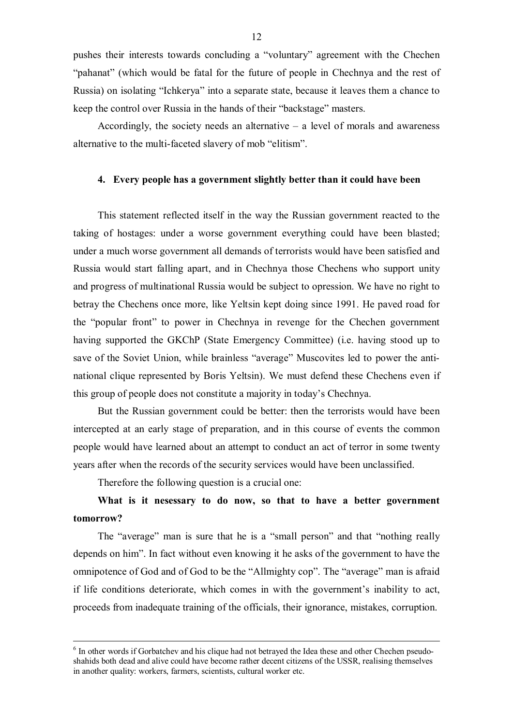pushes their interests towards concluding a "voluntary" agreement with the Chechen "pahanat" (which would be fatal for the future of people in Chechnya and the rest of Russia) on isolating "Ichkerya" into a separate state, because it leaves them a chance to keep the control over Russia in the hands of their "backstage" masters.

Accordingly, the society needs an alternative  $-$  a level of morals and awareness alternative to the multi-faceted slavery of mob "elitism".

#### **4. Every people has a government slightly better than it could have been**

This statement reflected itself in the way the Russian government reacted to the taking of hostages: under a worse government everything could have been blasted; under a much worse government all demands of terrorists would have been satisfied and Russia would start falling apart, and in Chechnya those Chechens who support unity and progress of multinational Russia would be subject to opression. We have no right to betray the Chechens once more, like Yeltsin kept doing since 1991. He paved road for the "popular front" to power in Chechnya in revenge for the Chechen government having supported the GKChP (State Emergency Committee) (i.e. having stood up to save of the Soviet Union, while brainless "average" Muscovites led to power the antinational clique represented by Boris Yeltsin). We must defend these Chechens even if this group of people does not constitute a majority in today's Chechnya.

But the Russian government could be better: then the terrorists would have been intercepted at an early stage of preparation, and in this course of events the common people would have learned about an attempt to conduct an act of terror in some twenty years after when the records of the security services would have been unclassified.

Therefore the following question is a crucial one:

 $\overline{a}$ 

## **What is it nesessary to do now, so that to have a better government tomorrow?**

The "average" man is sure that he is a "small person" and that "nothing really depends on him". In fact without even knowing it he asks of the government to have the omnipotence of God and of God to be the "Allmighty cop". The "average" man is afraid if life conditions deteriorate, which comes in with the government's inability to act, proceeds from inadequate training of the officials, their ignorance, mistakes, corruption.

<sup>&</sup>lt;sup>6</sup> In other words if Gorbatchev and his clique had not betrayed the Idea these and other Chechen pseudoshahids both dead and alive could have become rather decent citizens of the USSR, realising themselves in another quality: workers, farmers, scientists, cultural worker etc.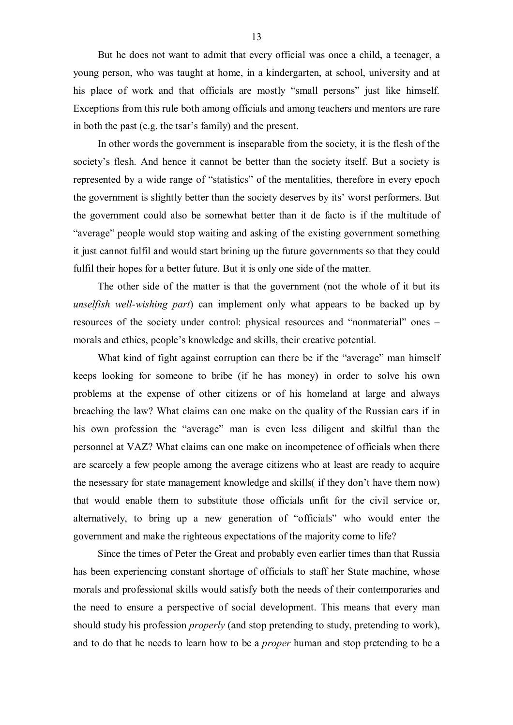But he does not want to admit that every official was once a child, a teenager, a young person, who was taught at home, in a kindergarten, at school, university and at his place of work and that officials are mostly "small persons" just like himself. Exceptions from this rule both among officials and among teachers and mentors are rare in both the past (e.g. the tsar's family) and the present.

In other words the government is inseparable from the society, it is the flesh of the society's flesh. And hence it cannot be better than the society itself. But a society is represented by a wide range of "statistics" of the mentalities, therefore in every epoch the government is slightly better than the society deserves by its' worst performers. But the government could also be somewhat better than it de facto is if the multitude of "average" people would stop waiting and asking of the existing government something it just cannot fulfil and would start brining up the future governments so that they could fulfil their hopes for a better future. But it is only one side of the matter.

The other side of the matter is that the government (not the whole of it but its *unselfish well-wishing part*) can implement only what appears to be backed up by resources of the society under control: physical resources and "nonmaterial" ones – morals and ethics, people's knowledge and skills, their creative potential.

What kind of fight against corruption can there be if the "average" man himself keeps looking for someone to bribe (if he has money) in order to solve his own problems at the expense of other citizens or of his homeland at large and always breaching the law? What claims can one make on the quality of the Russian cars if in his own profession the "average" man is even less diligent and skilful than the personnel at VAZ? What claims can one make on incompetence of officials when there are scarcely a few people among the average citizens who at least are ready to acquire the nesessary for state management knowledge and skills( if they don't have them now) that would enable them to substitute those officials unfit for the civil service or, alternatively, to bring up a new generation of "officials" who would enter the government and make the righteous expectations of the majority come to life?

Since the times of Peter the Great and probably even earlier times than that Russia has been experiencing constant shortage of officials to staff her State machine, whose morals and professional skills would satisfy both the needs of their contemporaries and the need to ensure a perspective of social development. This means that every man should study his profession *properly* (and stop pretending to study, pretending to work), and to do that he needs to learn how to be a *proper* human and stop pretending to be a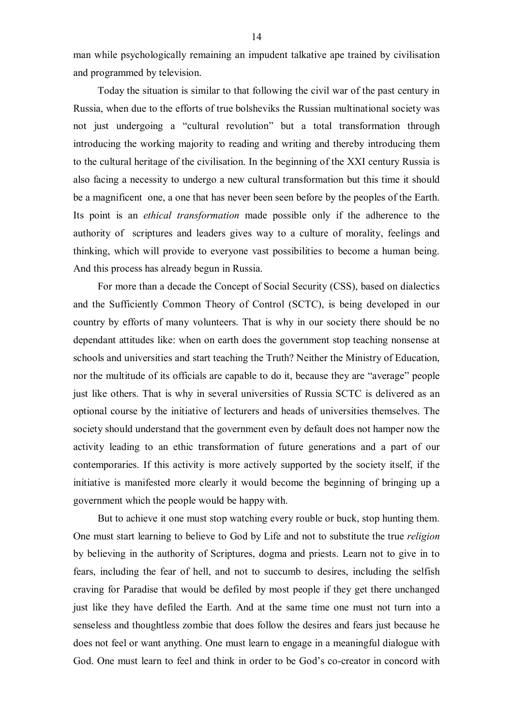man while psychologically remaining an impudent talkative ape trained by civilisation and programmed by television.

Today the situation is similar to that following the civil war of the past century in Russia, when due to the efforts of true bolsheviks the Russian multinational society was not just undergoing a "cultural revolution" but a total transformation through introducing the working majority to reading and writing and thereby introducing them to the cultural heritage of the civilisation. In the beginning of the XXI century Russia is also facing a necessity to undergo a new cultural transformation but this time it should be a magnificent one, a one that has never been seen before by the peoples of the Earth. Its point is an *ethical transformation* made possible only if the adherence to the authority of scriptures and leaders gives way to a culture of morality, feelings and thinking, which will provide to everyone vast possibilities to become a human being. And this process has already begun in Russia.

For more than a decade the Concept of Social Security (CSS), based on dialectics and the Sufficiently Common Theory of Control (SCTC), is being developed in our country by efforts of many volunteers. That is why in our society there should be no dependant attitudes like: when on earth does the government stop teaching nonsense at schools and universities and start teaching the Truth? Neither the Ministry of Education, nor the multitude of its officials are capable to do it, because they are "average" people just like others. That is why in several universities of Russia SCTC is delivered as an optional course by the initiative of lecturers and heads of universities themselves. The society should understand that the government even by default does not hamper now the activity leading to an ethic transformation of future generations and a part of our contemporaries. If this activity is more actively supported by the society itself, if the initiative is manifested more clearly it would become the beginning of bringing up a government which the people would be happy with.

But to achieve it one must stop watching every rouble or buck, stop hunting them. One must start learning to believe to God by Life and not to substitute the true *religion* by believing in the authority of Scriptures, dogma and priests. Learn not to give in to fears, including the fear of hell, and not to succumb to desires, including the selfish craving for Paradise that would be defiled by most people if they get there unchanged just like they have defiled the Earth. And at the same time one must not turn into a senseless and thoughtless zombie that does follow the desires and fears just because he does not feel or want anything. One must learn to engage in a meaningful dialogue with God. One must learn to feel and think in order to be God's co-creator in concord with